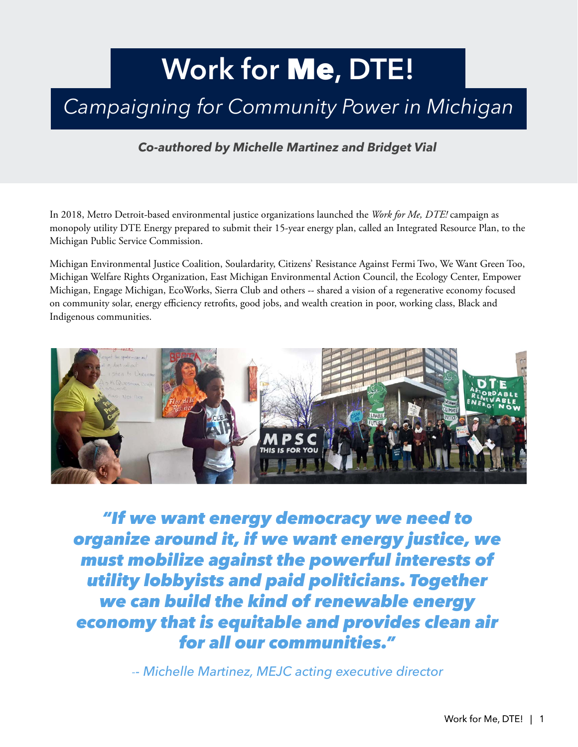## **Work for** Me**, DTE!**

## *Campaigning for Community Power in Michigan*

*Co-authored by Michelle Martinez and Bridget Vial*

In 2018, Metro Detroit-based environmental justice organizations launched the *Work for Me, DTE!* campaign as monopoly utility DTE Energy prepared to submit their 15-year energy plan, called an Integrated Resource Plan, to the Michigan Public Service Commission.

Michigan Environmental Justice Coalition, Soulardarity, Citizens' Resistance Against Fermi Two, We Want Green Too, Michigan Welfare Rights Organization, East Michigan Environmental Action Council, the Ecology Center, Empower Michigan, Engage Michigan, EcoWorks, Sierra Club and others -- shared a vision of a regenerative economy focused on community solar, energy efficiency retrofits, good jobs, and wealth creation in poor, working class, Black and Indigenous communities.



*"If we want energy democracy we need to organize around it, if we want energy justice, we must mobilize against the powerful interests of utility lobbyists and paid politicians. Together we can build the kind of renewable energy economy that is equitable and provides clean air for all our communities."* 

*-- Michelle Martinez, MEJC acting executive director*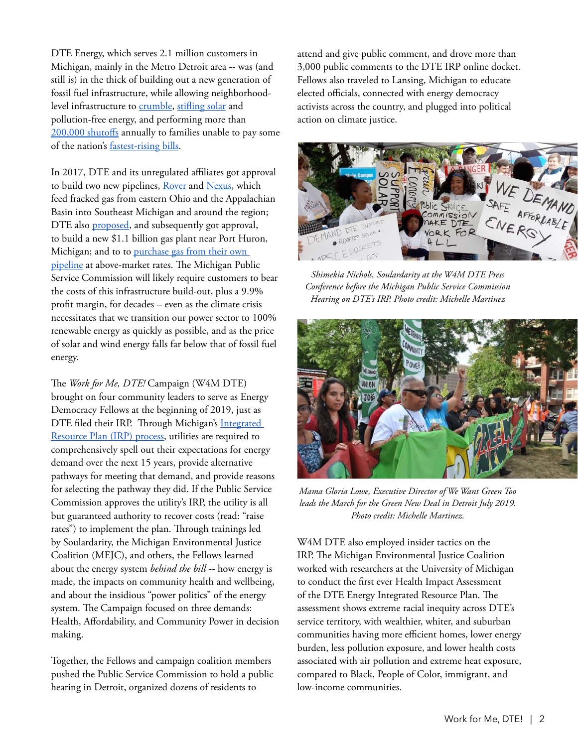DTE Energy, which serves 2.1 million customers in Michigan, mainly in the Metro Detroit area -- was (and still is) in the thick of building out a new generation of fossil fuel infrastructure, while allowing neighborhoodlevel infrastructure to [crumble](https://energynews.us/2019/08/13/climate-change-brings-urgency-to-debate-over-detroits-grid-resilience/), [stifling solar](https://www.energyandpolicy.org/dte-energy-consumers-energy-oppose-renewable-energy-ballot-proposal/) and pollution-free energy, and performing more than [200,000 shutoffs](https://planetdetroit.org/2020/06/opinion-energy-assistance-programs-dont-keep-the-lights-on-energy-affordability-will/) annually to families unable to pay some of the nation's [fastest-rising bills](https://www.freep.com/story/news/local/michigan/2019/08/05/dte-energy-electric-rate-hikes/1900782001/).

In 2017, DTE and its unregulated affiliates got approval to build two new pipelines, [Rover](https://www.utilitydive.com/news/in-last-minute-flurry-ferc-approves-energy-transfers-rover-gas-pipeline/435616/) and [Nexus](https://energynews.us/2016/04/27/opponents-say-nexus-pipeline-would-be-bad-deal-for-michigan-ratepayers/), which feed fracked gas from eastern Ohio and the Appalachian Basin into Southeast Michigan and around the region; DTE also [proposed,](https://www.freep.com/story/money/business/michigan/2017/08/01/dte-energy-natural-gas-power-plant-macomb/527961001/) and subsequently got approval, to build a new \$1.1 billion gas plant near Port Huron, Michigan; and to to purchase gas from their own [pipeline](https://www.gongwer.com/news/index.cfm?article_ID=600680104) at above-market rates. The Michigan Public Service Commission will likely require customers to bear the costs of this infrastructure build-out, plus a 9.9% profit margin, for decades – even as the climate crisis necessitates that we transition our power sector to 100% renewable energy as quickly as possible, and as the price of solar and wind energy falls far below that of fossil fuel energy.

The *Work for Me, DTE!* Campaign (W4M DTE) brought on four community leaders to serve as Energy Democracy Fellows at the beginning of 2019, just as DTE filed their IRP. Through Michigan's Integrated [Resource Plan \(IRP\) process,](https://www.nrdc.org/experts/ariana-gonzalez/michigan-integrated-resource-plan-primer) utilities are required to comprehensively spell out their expectations for energy demand over the next 15 years, provide alternative pathways for meeting that demand, and provide reasons for selecting the pathway they did. If the Public Service Commission approves the utility's IRP, the utility is all but guaranteed authority to recover costs (read: "raise rates") to implement the plan. Through trainings led by Soulardarity, the Michigan Environmental Justice Coalition (MEJC), and others, the Fellows learned about the energy system *behind the bill --* how energy is made, the impacts on community health and wellbeing, and about the insidious "power politics" of the energy system. The Campaign focused on three demands: Health, Affordability, and Community Power in decision making.

Together, the Fellows and campaign coalition members pushed the Public Service Commission to hold a public hearing in Detroit, organized dozens of residents to

attend and give public comment, and drove more than 3,000 public comments to the DTE IRP online docket. Fellows also traveled to Lansing, Michigan to educate elected officials, connected with energy democracy activists across the country, and plugged into political action on climate justice.



*Shimekia Nichols, Soulardarity at the W4M DTE Press Conference before the Michigan Public Service Commission Hearing on DTE's IRP. Photo credit: Michelle Martinez*



*Mama Gloria Lowe, Executive Director of We Want Green Too*  leads the March for the Green New Deal in Detroit July 2019. *Photo credit: Michelle Martinez.*

W4M DTE also employed insider tactics on the IRP. The Michigan Environmental Justice Coalition worked with researchers at the University of Michigan to conduct the first ever Health Impact Assessment of the DTE Energy Integrated Resource Plan. The assessment shows extreme racial inequity across DTE's service territory, with wealthier, whiter, and suburban communities having more efficient homes, lower energy burden, less pollution exposure, and lower health costs associated with air pollution and extreme heat exposure, compared to Black, People of Color, immigrant, and low-income communities.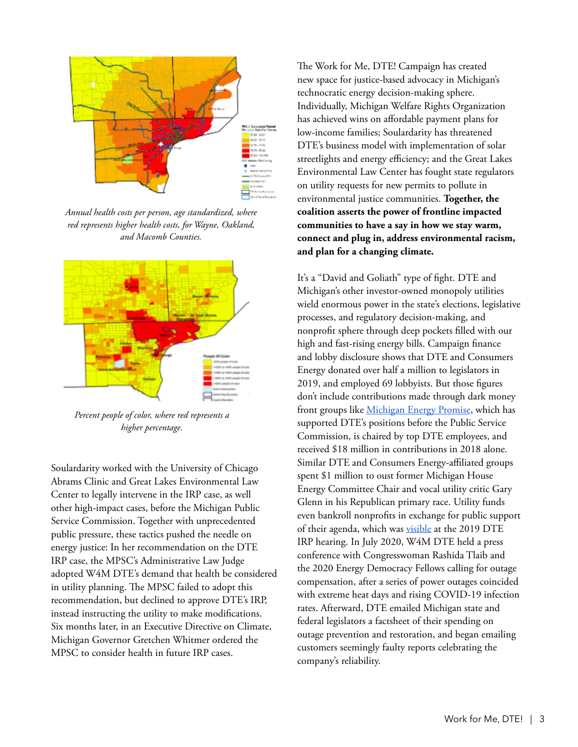

*Annual health costs per person, age standardized, where red represents higher health costs, for Wayne, Oakland, and Macomb Counties.* 



*Percent people of color, where red represents a higher percentage.*

Soulardarity worked with the University of Chicago Abrams Clinic and Great Lakes Environmental Law Center to legally intervene in the IRP case, as well other high-impact cases, before the Michigan Public Service Commission. Together with unprecedented public pressure, these tactics pushed the needle on energy justice: In her recommendation on the DTE IRP case, the MPSC's Administrative Law Judge adopted W4M DTE's demand that health be considered in utility planning. The MPSC failed to adopt this recommendation, but declined to approve DTE's IRP, instead instructing the utility to make modifications. Six months later, in an Executive Directive on Climate, Michigan Governor Gretchen Whitmer ordered the MPSC to consider health in future IRP cases.

The Work for Me, DTE! Campaign has created new space for justice-based advocacy in Michigan's technocratic energy decision-making sphere. Individually, Michigan Welfare Rights Organization has achieved wins on affordable payment plans for low-income families; Soulardarity has threatened DTE's business model with implementation of solar streetlights and energy efficiency; and the Great Lakes Environmental Law Center has fought state regulators on utility requests for new permits to pollute in environmental justice communities. **Together, the coalition asserts the power of frontline impacted communities to have a say in how we stay warm, connect and plug in, address environmental racism, and plan for a changing climate.** 

It's a "David and Goliath" type of fight. DTE and Michigan's other investor-owned monopoly utilities wield enormous power in the state's elections, legislative processes, and regulatory decision-making, and nonprofit sphere through deep pockets filled with our high and fast-rising energy bills. Campaign finance and lobby disclosure shows that DTE and Consumers Energy donated over half a million to legislators in 2019, and employed 69 lobbyists. But those figures don't include contributions made through dark money front groups like [Michigan Energy Promise](https://www.energyandpolicy.org/michigan-energy-promise/), which has supported DTE's positions before the Public Service Commission, is chaired by top DTE employees, and received \$18 million in contributions in 2018 alone. Similar DTE and Consumers Energy-affiliated groups spent \$1 million to oust former Michigan House Energy Committee Chair and vocal utility critic Gary Glenn in his Republican primary race. Utility funds even bankroll nonprofits in exchange for public support of their agenda, which was [visible](https://www.huffpost.com/entry/utilities-charitable-giving-detroit-influence_n_5efe2da6c5b6ca97091b313b) at the 2019 DTE IRP hearing. In July 2020, W4M DTE held a press conference with Congresswoman Rashida Tlaib and the 2020 Energy Democracy Fellows calling for outage compensation, after a series of power outages coincided with extreme heat days and rising COVID-19 infection rates. Afterward, DTE emailed Michigan state and federal legislators a factsheet of their spending on outage prevention and restoration, and began emailing customers seemingly faulty reports celebrating the company's reliability.